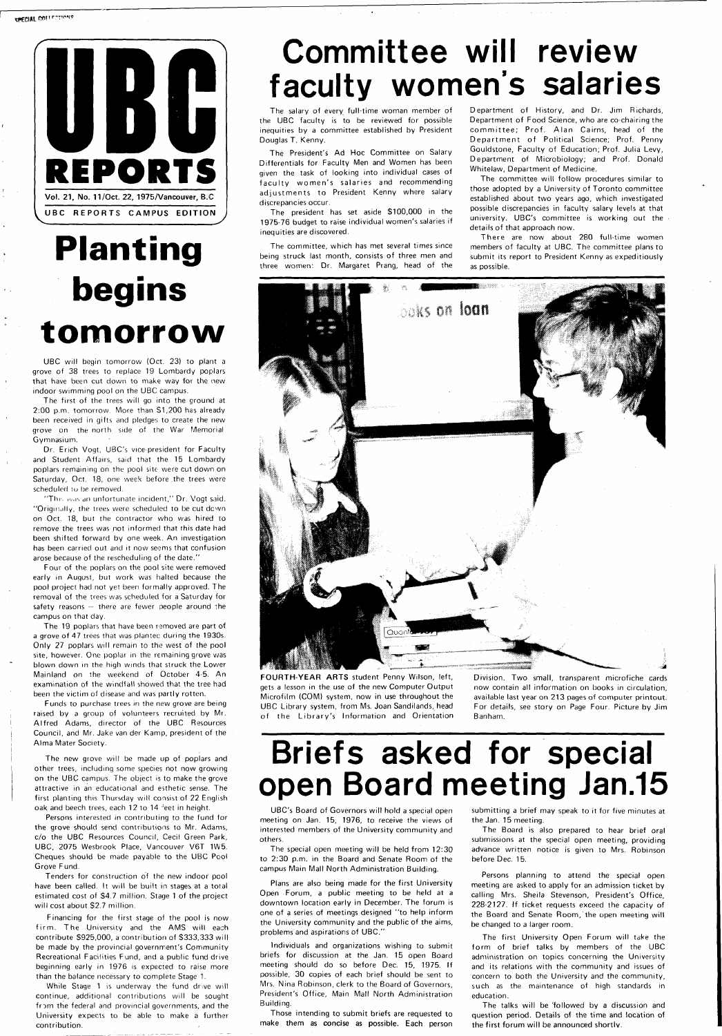

# **Planting begins tomorrow**

UBC will begin tomorrow (Oct. 23) to plant a grove of 38 trees to replace 19 Lombardy poplars that have been cut down to make way for the new indoor swimming pool on the UBC campus.

Dr. Erich Vogt, UBC's vice-president for Faculty and Student Affairs, said that the 15 Lombardy poplars remaining on the pool site were cut down on Saturday, Oct. 18, one week before, the trees were scheduled to be removed.

The first of the trees will go into the ground at 2:00 p.m. tomorrow. More than S1,200 has already been received in gifts and pledges to create the new grove on the north side of the War Memorial Gymnasium.

"This was an unfortunate incident," Dr. Vogt said. "Originally, the trees were scheduled to be cut down on Oct. 18, but the contractor who was hired to remove the trees was not informed that this date had been shifted forward by one week. An investigation has been carried out and it now seems that confusion arose because of the rescheduling of the date."

Four of the poplars on the pool site were removed early in August, but work was halted because the pool project had not yet been formally approved. The removal of the trees was scheduled for a Saturday for safety reasons - there are fewer people around the campus on that day.

The 19 poplars that have been removed are part of a grove of 47 trees that was plantec during the 1930s. Only 27 poplars will remain to the west of the pool site, however. One poplar in the remaining grove was blown down in the high winds that struck the Lower Mainland on the weekend of October 4-5. An examination of the windfall showed that the tree had been the victim of disease and was partly rotten.

Funds to purchase trees in the new grove are being raised by a group of volunteers recruited by Mr. Alfred Adams, director of the UBC Resources Council, and Mr. Jake van der Kamp, president of the Alma Mater Society.

The new grove will be made up of poplars and other trees, including some species not now growing on the UBC campus. The object is to make the grove attractive in an educational and esthetic sense. The first planting this Thursday will consist of 22 English

There are now about 280 full-time women members of faculty at UBC. The committee plans to submit its report to President Kenny as expeditiously as possible.

**FOURTH-YEAR ARTS** student Penny Wilson, left, gets a lesson in the use of the new Computer Output Microfilm (COM) system, now in use throughout the UBC Library system, from Ms. Joan Sandilands, head of the Library's Information and Orientation



Persons interested in contributing to the fund for the grove should send contributions to Mr. Adams, c/o the UBC Resources Council, Cecil Green Park, UBC, 2075 Wesbrook Place, Vancouver V6T 1W5. Cheques should be made payable to the UBC Pool Grove Fund.

Tenders for construction of the new indoor pool have been called. It will be built in stages at a total estimated cost of \$4.7 million. Stage 1 of the project will cost about \$2.7 million.

Financing for the first stage of the pool is now firm. The University and the AMS will each contribute \$925,000, a contribution of \$333,333 will be made by the provincial government's Community Recreational Facilities Fund, and a public fund drive beginning early in 1976 is expected to raise more than the balance necessary to complete Stage 1.

While Stage 1 is underway the fund drive will continue, additional contributions will be sought from the federal and provincial governments, and the University expects to be able to make a further contribution.

# Committee will review faculty women's salaries

The salary of every full-time woman member of the UBC faculty is to be reviewed for possible inequities by a committee established by President Douglas T. Kenny.

The President's Ad Hoc Committee on Salary Differentials for Faculty Men and Women has been given the task of looking into individual cases of faculty women's salaries and recommending adjustments to President Kenny where salary discrepancies occur.

The president has set aside \$100,000 in the 1975-76 budget to raise individual women's salaries if inequities are discovered.

The committee, which has met several times since being struck last month, consists of three men and three women: Dr. Margaret Prang, head of the

Department of History, and Dr. Jim Richards, Department of Food Science, who are co-chairing the committee; Prof. Alan Cairns, head of the Department of Political Science; Prof. Penny Gouldstone, Faculty of Education; Prof. Julia Levy, Department of Microbiology; and Prof. Donald Whitelaw, Department of Medicine.

The committee will follow procedures similar to those adopted by a University of Toronto committee established about two years ago, which investigated possible discrepancies in faculty salary levels at that university. UBC's committee is working out the details of that approach now.

Division. Two small, transparent microfiche cards now contain all information on books in circulation, available last year on 213 pages of computer printout. For details, see story on Page Four. Picture by Jim Banham.

# Briefs asked for special open Board meeting Jan.15

oak and beech trees, each 12 to 14 feet in height.

UBC's Board of Governors will hold a special open meeting on Jan. 15, 1976, to receive the views of interested members of the University community and others.

The special open meeting will be held from 12:30 to 2:30 p.m. in the Board and Senate Room of the campus Main Mall North Administration Building.

Plans are also being made for the first University Open Forum, a public meeting to be held at a downtown location early in December. The forum is one of a series of meetings designed "to help inform the University community and the public of the aims, problems and aspirations of UBC."

Individuals and organizations wishing to submit briefs for discussion at the Jan. 15 open Board meeting should do so before Dec. 15, 1975. If possible, 30 copies of each brief should be sent to Mrs. Nina Robinson, clerk to the Board of Governors, President's Office, Main Mall North Administration Building.

Those intending to submit briefs are requested to make them as concise as possible. Each person

submitting a brief may speak to it for five minutes at the Jan. 15 meeting.

The Board is also prepared to hear brief oral submissions at the special open meeting, providing advance written notice is given to Mrs. Robinson before Dec. 15.

Persons planning to attend the special open meeting are asked to apply for an admission ticket by calling Mrs. Sheila Stevenson, President's Office, 228-2127. If ticket requests exceed the capacity of the Board and Senate Room, the open meeting will be changed to a larger room.

The first University Open Forum will take the form of brief talks by members of the UBC administration on topics concerning the University and its relations with the community and issues of concern to both the University and the community, such as the maintenance of high standards in education.

The talks will be 'followed by a discussion and question period. Details of the time and location of the first forum will be announced shortly.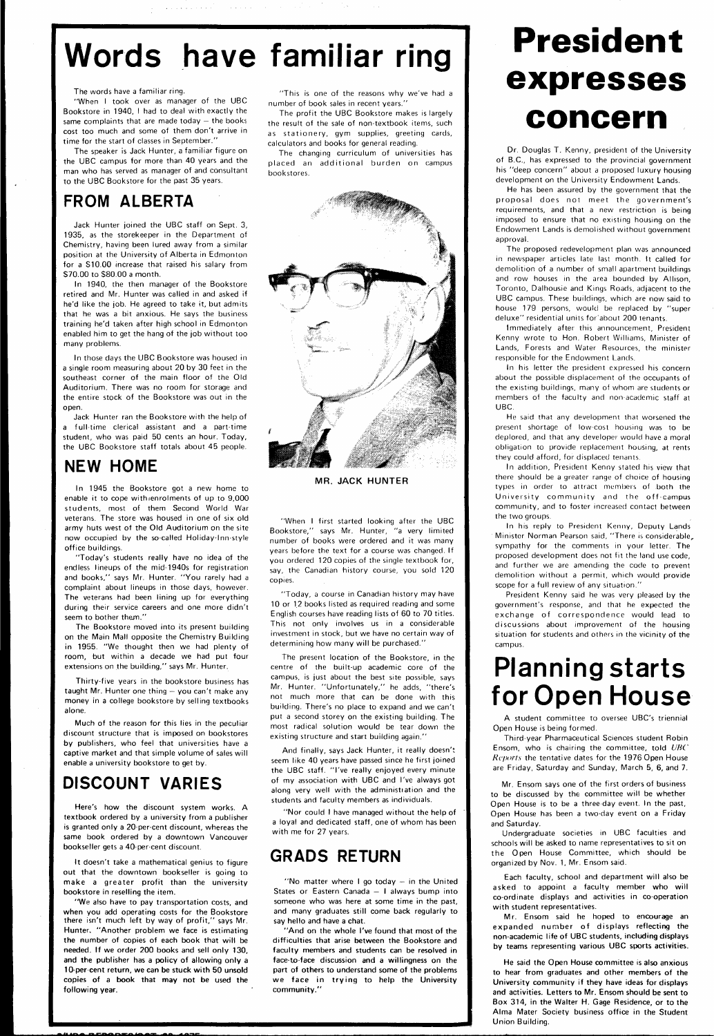# Words have familiar ring

"When I took over as manager of the UBC Bookstore in 1940, I had to deal with exactly the same complaints that are made today  $-$  the books cost too much and some of them don't arrive in time for the start of classes in September.'

The words have a familiar ring.

The speaker is Jack Hunter, a familiar figure on the UBC campus for more than 40 years and the man who has served as manager of and consultant to the UBC Bookstore for the past 35 years.

### **FROM ALBERTA**

Jack Hunter joined the UBC staff on Sept. 3, 1935, as the storekeeper in the Department of Chemistry, having been lured away from a similar position at the University of Alberta in Edmonton for a S10.00 increase that raised his salary from \$70.00 to \$80.00 a month.

In 1940, the then manager of the Bookstore retired and Mr. Hunter was called in and asked if he'd like the job. He agreed to take it, but admits that he was a bit anxious. He says the business training he'd taken after high school in Edmonton enabled him to get the hang of the job without too many problems.

In those days the UBC Bookstore was housed in a single room measuring about 20 by 30 feet in the southeast corner of the main floor of the Old Auditorium. There was no room for storage and the entire stock of the Bookstore was out in the open.

textbook ordered by a university from a publisher is granted only a 20-per-cent discount, whereas the **same** book ordered by a downtown Vancouver bookseller gets a 40-per-cent discount.

Jack Hunter ran the Bookstore with the help of a full-time clerical assistant and a part-time student, who was paid 50 cents an hour. Today, the UBC Bookstore staff totals about 45 people.

### **NEW HOME**

In 1945 the Bookstore got a new home to enable it to cope withienrolments of up to 9,000 students, most of them Second World War veterans. The store was housed in one of six old army huts west of the Old Auditorium on the site now occupied by the so-called Holiday-lnn-style office buildings.

"Today's students really have no idea of the endless lineups of the mid-1940s for registration and books," says Mr. Hunter. "You rarely had a complaint about lineups in those days, however. The veterans had been lining up for everything during their service careers and one more didn't seem to bother them."

The Bookstore moved into its present building on the Main Mall opposite the Chemistry Building in 1955. "We thought then we had plenty of room, but within a decade we had put four extensions on the building," says Mr. Hunter.

Thirty-five years in the bookstore business has taught Mr. Hunter one thing — you can't make any money in a college bookstore by selling textbooks alone.

Much of the reason for this lies in the peculiar discount structure that is imposed on bookstores by publishers, who feel that universities have a captive market and that simple volume of sales will **enable** a university bookstore to get by.

### **DISCOUNT VARIES**

Here's how the discount system works. A

It doesn't take a mathematical genius to figure **out** that the downtown bookseller is going to **make** a greater profit than the university bookstore in reselling the item.

"We also have to pay transportation costs, **and when you** add operating costs for the Bookstore **there** isn't much left by way of profit," says Mr. **Hunter.** "Another problem **we** face is estimating **the** number of copies of each **book** that **will** be **needed. If we order 200 books and sell** only **130, and the publisher has a policy of allowing only a 10-percent return, we can be stuck with 50 unsold copies of a book that may not be used the following year.** 

"This is one of the reasons why we've had a number of book sales in recent years."

The profit the UBC Bookstore makes is largely the result of the sale of non-textbook items, such as stationery, gym supplies, greeting cards, calculators and books for general reading.

The changing curriculum of universities has placed an additional burden on campus bookstores.



**MR. JACK HUNTER** 

"When I first started looking after the UBC Bookstore," says Mr. Hunter, "a very limited number of books were ordered and it was many years before the text for a course was changed. If you ordered 120 copies of the single textbook for, say, the Canadian history course, you sold 120 copies.

"Today, a course in Canadian history may have 10 or 12 books listed as required reading and some English courses have reading lists of 60 to 70 titles. This not only involves us in a considerable investment in stock, but we have no certain way of determining how many will be purchased."

The present location of the Bookstore, in the centre of the built-up academic core of the campus, is just about the best site possible, says Mr. Hunter. "Unfortunately," he adds, "there's not much more that can be done with this building. There's no place to expand and we can't put a second storey on the existing building. The most radical solution would be tear down the existing structure and start building again."

And finally, says Jack Hunter, it really doesn't seem like 40 years have passed since he first joined the UBC staff. "I've really enjoyed every minute of my association with UBC and I've always got along very well with the administration and the students and faculty members as individuals.

"Nor could I have managed without the help of

a loyal and dedicated staff, one of whom has been with me for 27 years.

### **GRADS RETURN**

"No matter where I go today — in the United States or Eastern Canada — I always bump into someone who was here at some time in the past, and many graduates **still** come back regularly to say **hello** and have a **chat.** 

**"And** on the **whole I've found that most of the difficulties that arise between the Bookstore and faculty members and students can be resolved in face-to-face discussion and a willingness on the part of others to understand some of the problems we face in trying to help the University community."** 

# **President**  expresses **concern**

Dr. Douglas T. Kenny, president of the University of B.C., has expressed to the provincial government his "deep concern" about a proposed luxury housing development on the University Endowment Lands.

He has been assured by the government that the proposal does not meet the government's requirements, and that a new restriction is being imposed to ensure that no existing housing on the Endowment Lands is demolished without government approval.

The proposed redevelopment plan was announced in newspaper articles late last month. It called for demolition of a number of small apartment buildings and row houses in the area bounded by Allison, Toronto, Dalhousie and Kings Roads, adjacent to the UBC campus. These buildings, which are now said to house 179 persons, would be replaced by "super deluxe" residential units for'about 200 tenants.

Immediately after this announcement, President Kenny wrote to Hon. Robert Williams, Minister of Lands, Forests and Water Resources, the minister responsible for the Endowment Lands.

In his letter the president expressed his concern about the possible displacement of the occupants of the existing buildings, many of whom are students or members of the faculty and non-academic staff at UBC.

He said that any development that worsened the present shortage of low-cost housing was to be deplored, and that any developer would have a moral obligation to provide replacement housing, at rents they could afford, for displaced tenants.

In addition, President Kenny stated his view that there should be a greater range of choice of housing types in order to attract members of both the University community and the off-campus community, and to foster increased contact between the two groups.

In his reply to President Kenny, Deputy Lands Minister Norman Pearson said, "There is considerable., sympathy for the comments in your letter. The proposed development does not fit the land use code, and further we are amending the code to prevent demolition without a permit, which would provide scope for a full review of any situation."

President Kenny said he was very pleased by the government's response, and that he expected the exchange of correspondence would lead to discussions about improvement of the housing situation for students and others in the vicinity of the campus.

### **Planning starts for Open House**

A student committee to oversee UBC's triennial Open House is being formed.

Third-year Pharmaceutical Sciences student Robin Ensom, who is chairing the committee, told UBC Reports the tentative dates for the 1976 Open House are Friday, Saturday and Sunday, March 5, 6, and 7.

Mr. Ensom says one of the first orders of business to be discussed by the committee will be whether Open House is to be a three day event. In the past, Open House has been a two-day event on a Friday and Saturday.

Undergraduate societies in UBC faculties and schools will be asked to name representatives to sit on the Open House Committee, which should be organized by Nov. 1, Mr. Ensom said.

Each faculty, school and department will also be asked to appoint a faculty member who will co-ordinate displays and activities in co-operation with student representatives.

Mr. Ensom said he hoped **to encourage** an expanded number of displays reflecting the non-academic life **of UBC** students, **including displays by teams representing various UBC sports activities.** 

**He said the Open House committee is also anxious to hear from graduates and other members of the University community if they have ideas for displays and activities. Letters to Mr. Ensom should be sent to Box 314,** in **the Walter H.** Gage Residence, **or to the Alma** Mater Society business office in **the Student**  Union Building.